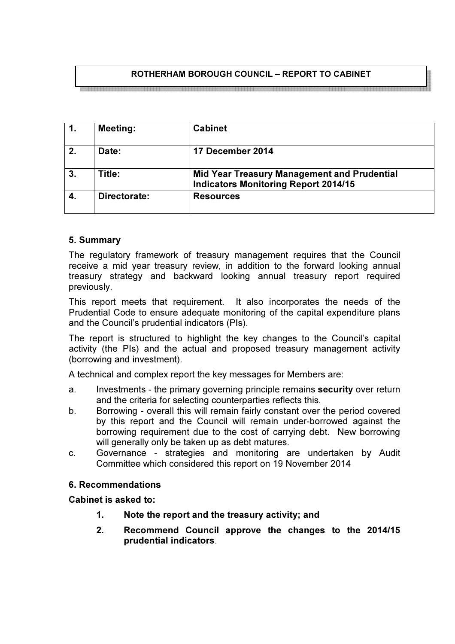## ROTHERHAM BOROUGH COUNCIL – REPORT TO CABINET

|    | <b>Meeting:</b> | <b>Cabinet</b>                                                                                    |
|----|-----------------|---------------------------------------------------------------------------------------------------|
| 2. | Date:           | 17 December 2014                                                                                  |
| 3. | Title:          | <b>Mid Year Treasury Management and Prudential</b><br><b>Indicators Monitoring Report 2014/15</b> |
|    | Directorate:    | <b>Resources</b>                                                                                  |

#### 5. Summary

The regulatory framework of treasury management requires that the Council receive a mid year treasury review, in addition to the forward looking annual treasury strategy and backward looking annual treasury report required previously.

This report meets that requirement. It also incorporates the needs of the Prudential Code to ensure adequate monitoring of the capital expenditure plans and the Council's prudential indicators (PIs).

The report is structured to highlight the key changes to the Council's capital activity (the PIs) and the actual and proposed treasury management activity (borrowing and investment).

A technical and complex report the key messages for Members are:

- a. Investments the primary governing principle remains **security** over return and the criteria for selecting counterparties reflects this.
- b. Borrowing overall this will remain fairly constant over the period covered by this report and the Council will remain under-borrowed against the borrowing requirement due to the cost of carrying debt. New borrowing will generally only be taken up as debt matures.
- c. Governance strategies and monitoring are undertaken by Audit Committee which considered this report on 19 November 2014

#### 6. Recommendations

#### Cabinet is asked to:

- 1. Note the report and the treasury activity; and
- 2. Recommend Council approve the changes to the 2014/15 prudential indicators.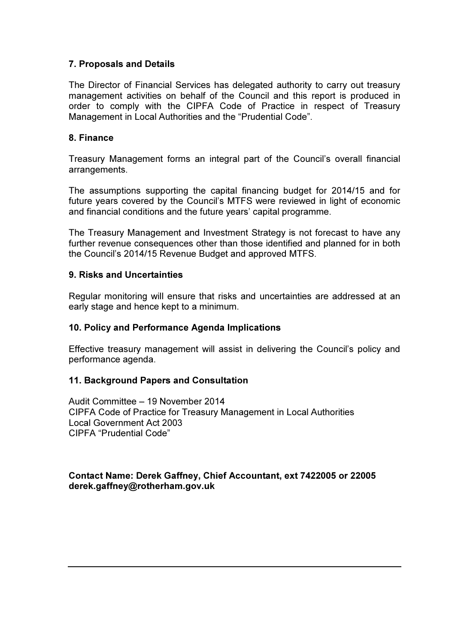### 7. Proposals and Details

The Director of Financial Services has delegated authority to carry out treasury management activities on behalf of the Council and this report is produced in order to comply with the CIPFA Code of Practice in respect of Treasury Management in Local Authorities and the "Prudential Code".

#### 8. Finance

Treasury Management forms an integral part of the Council's overall financial arrangements.

The assumptions supporting the capital financing budget for 2014/15 and for future years covered by the Council's MTFS were reviewed in light of economic and financial conditions and the future years' capital programme.

The Treasury Management and Investment Strategy is not forecast to have any further revenue consequences other than those identified and planned for in both the Council's 2014/15 Revenue Budget and approved MTFS.

#### 9. Risks and Uncertainties

Regular monitoring will ensure that risks and uncertainties are addressed at an early stage and hence kept to a minimum.

#### 10. Policy and Performance Agenda Implications

Effective treasury management will assist in delivering the Council's policy and performance agenda.

#### 11. Background Papers and Consultation

Audit Committee – 19 November 2014 CIPFA Code of Practice for Treasury Management in Local Authorities Local Government Act 2003 CIPFA "Prudential Code"

#### Contact Name: Derek Gaffney, Chief Accountant, ext 7422005 or 22005 derek.gaffney@rotherham.gov.uk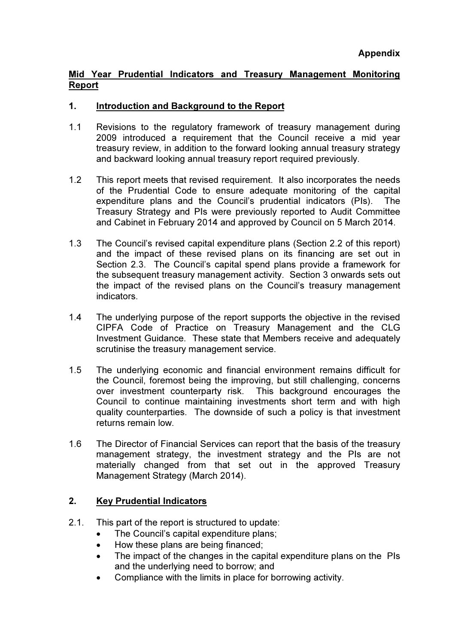### Mid Year Prudential Indicators and Treasury Management Monitoring Report

## 1. Introduction and Background to the Report

- 1.1 Revisions to the regulatory framework of treasury management during 2009 introduced a requirement that the Council receive a mid year treasury review, in addition to the forward looking annual treasury strategy and backward looking annual treasury report required previously.
- 1.2 This report meets that revised requirement. It also incorporates the needs of the Prudential Code to ensure adequate monitoring of the capital expenditure plans and the Council's prudential indicators (PIs). The Treasury Strategy and PIs were previously reported to Audit Committee and Cabinet in February 2014 and approved by Council on 5 March 2014.
- 1.3 The Council's revised capital expenditure plans (Section 2.2 of this report) and the impact of these revised plans on its financing are set out in Section 2.3. The Council's capital spend plans provide a framework for the subsequent treasury management activity. Section 3 onwards sets out the impact of the revised plans on the Council's treasury management indicators.
- 1.4 The underlying purpose of the report supports the objective in the revised CIPFA Code of Practice on Treasury Management and the CLG Investment Guidance. These state that Members receive and adequately scrutinise the treasury management service.
- 1.5 The underlying economic and financial environment remains difficult for the Council, foremost being the improving, but still challenging, concerns over investment counterparty risk. This background encourages the Council to continue maintaining investments short term and with high quality counterparties. The downside of such a policy is that investment returns remain low.
- 1.6 The Director of Financial Services can report that the basis of the treasury management strategy, the investment strategy and the PIs are not materially changed from that set out in the approved Treasury Management Strategy (March 2014).

## 2. Key Prudential Indicators

- 2.1. This part of the report is structured to update:
	- The Council's capital expenditure plans;
	- How these plans are being financed:
	- The impact of the changes in the capital expenditure plans on the PIs and the underlying need to borrow; and
	- Compliance with the limits in place for borrowing activity.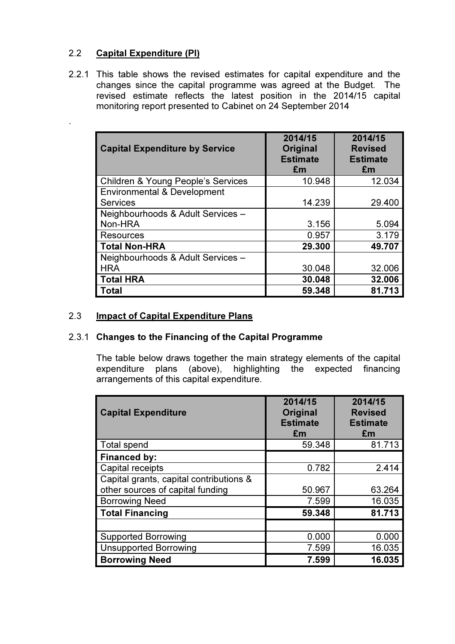## 2.2 Capital Expenditure (PI)

.

2.2.1 This table shows the revised estimates for capital expenditure and the changes since the capital programme was agreed at the Budget. The revised estimate reflects the latest position in the 2014/15 capital monitoring report presented to Cabinet on 24 September 2014

| <b>Capital Expenditure by Service</b>         | 2014/15<br>Original<br><b>Estimate</b><br>£m | 2014/15<br><b>Revised</b><br><b>Estimate</b><br>£m |
|-----------------------------------------------|----------------------------------------------|----------------------------------------------------|
| <b>Children &amp; Young People's Services</b> | 10.948                                       | 12.034                                             |
| <b>Environmental &amp; Development</b>        |                                              |                                                    |
| <b>Services</b>                               | 14.239                                       | 29.400                                             |
| Neighbourhoods & Adult Services -             |                                              |                                                    |
| Non-HRA                                       | 3.156                                        | 5.094                                              |
| Resources                                     | 0.957                                        | 3.179                                              |
| <b>Total Non-HRA</b>                          | 29,300                                       | 49.707                                             |
| Neighbourhoods & Adult Services -             |                                              |                                                    |
| <b>HRA</b>                                    | 30.048                                       | 32,006                                             |
| <b>Total HRA</b>                              | 30.048                                       | 32.006                                             |
| Total                                         | 59.348                                       | 81.713                                             |

### 2.3 Impact of Capital Expenditure Plans

#### 2.3.1 Changes to the Financing of the Capital Programme

The table below draws together the main strategy elements of the capital expenditure plans (above), highlighting the expected financing arrangements of this capital expenditure.

| <b>Capital Expenditure</b>              | 2014/15<br>Original<br><b>Estimate</b><br>£m | 2014/15<br><b>Revised</b><br><b>Estimate</b><br>£m |
|-----------------------------------------|----------------------------------------------|----------------------------------------------------|
| <b>Total spend</b>                      | 59.348                                       | 81.713                                             |
| <b>Financed by:</b>                     |                                              |                                                    |
| Capital receipts                        | 0.782                                        | 2.414                                              |
| Capital grants, capital contributions & |                                              |                                                    |
| other sources of capital funding        | 50.967                                       | 63.264                                             |
| <b>Borrowing Need</b>                   | 7.599                                        | 16.035                                             |
| <b>Total Financing</b>                  | 59.348                                       | 81.713                                             |
|                                         |                                              |                                                    |
| <b>Supported Borrowing</b>              | 0.000                                        | 0.000                                              |
| <b>Unsupported Borrowing</b>            | 7.599                                        | 16.035                                             |
| <b>Borrowing Need</b>                   | 7.599                                        | 16.035                                             |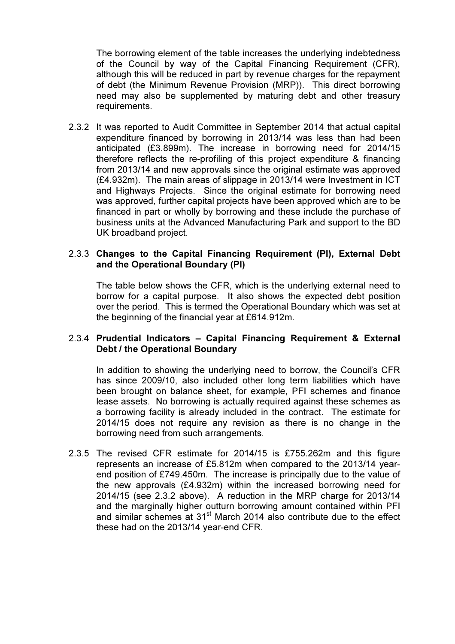The borrowing element of the table increases the underlying indebtedness of the Council by way of the Capital Financing Requirement (CFR), although this will be reduced in part by revenue charges for the repayment of debt (the Minimum Revenue Provision (MRP)). This direct borrowing need may also be supplemented by maturing debt and other treasury requirements.

2.3.2 It was reported to Audit Committee in September 2014 that actual capital expenditure financed by borrowing in 2013/14 was less than had been anticipated (£3.899m). The increase in borrowing need for 2014/15 therefore reflects the re-profiling of this project expenditure & financing from 2013/14 and new approvals since the original estimate was approved (£4.932m). The main areas of slippage in 2013/14 were Investment in ICT and Highways Projects. Since the original estimate for borrowing need was approved, further capital projects have been approved which are to be financed in part or wholly by borrowing and these include the purchase of business units at the Advanced Manufacturing Park and support to the BD UK broadband project.

#### 2.3.3 Changes to the Capital Financing Requirement (PI), External Debt and the Operational Boundary (PI)

The table below shows the CFR, which is the underlying external need to borrow for a capital purpose. It also shows the expected debt position over the period. This is termed the Operational Boundary which was set at the beginning of the financial year at £614.912m.

#### 2.3.4 Prudential Indicators – Capital Financing Requirement & External Debt / the Operational Boundary

In addition to showing the underlying need to borrow, the Council's CFR has since 2009/10, also included other long term liabilities which have been brought on balance sheet, for example, PFI schemes and finance lease assets. No borrowing is actually required against these schemes as a borrowing facility is already included in the contract. The estimate for 2014/15 does not require any revision as there is no change in the borrowing need from such arrangements.

2.3.5 The revised CFR estimate for 2014/15 is £755.262m and this figure represents an increase of £5.812m when compared to the 2013/14 yearend position of £749.450m. The increase is principally due to the value of the new approvals (£4.932m) within the increased borrowing need for 2014/15 (see 2.3.2 above). A reduction in the MRP charge for 2013/14 and the marginally higher outturn borrowing amount contained within PFI and similar schemes at 31<sup>st</sup> March 2014 also contribute due to the effect these had on the 2013/14 year-end CFR.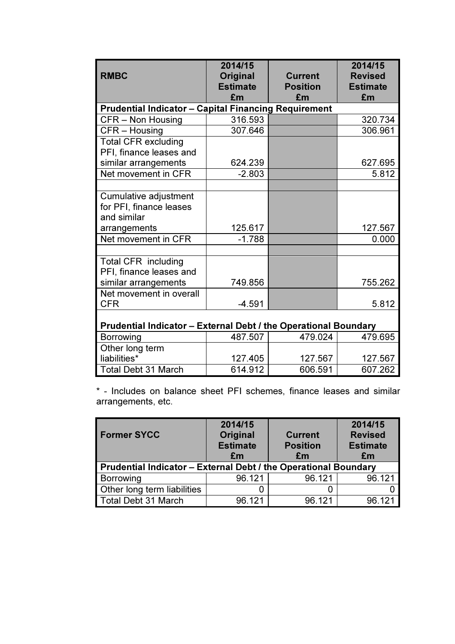| <b>RMBC</b>                                                     | 2014/15<br>Original<br><b>Estimate</b><br>£m | <b>Current</b><br><b>Position</b><br>£m | 2014/15<br><b>Revised</b><br><b>Estimate</b><br>£m |  |
|-----------------------------------------------------------------|----------------------------------------------|-----------------------------------------|----------------------------------------------------|--|
| <b>Prudential Indicator - Capital Financing Requirement</b>     |                                              |                                         |                                                    |  |
| CFR - Non Housing                                               | 316.593                                      |                                         | 320.734                                            |  |
| CFR - Housing                                                   | 307.646                                      |                                         | 306.961                                            |  |
| <b>Total CFR excluding</b>                                      |                                              |                                         |                                                    |  |
| PFI, finance leases and                                         |                                              |                                         |                                                    |  |
| similar arrangements                                            | 624.239                                      |                                         | 627.695                                            |  |
| Net movement in CFR                                             | $-2.803$                                     |                                         | 5.812                                              |  |
|                                                                 |                                              |                                         |                                                    |  |
| Cumulative adjustment<br>for PFI, finance leases<br>and similar |                                              |                                         |                                                    |  |
| arrangements                                                    | 125.617                                      |                                         | 127.567                                            |  |
| Net movement in CFR                                             | $-1.788$                                     |                                         | 0.000                                              |  |
|                                                                 |                                              |                                         |                                                    |  |
| <b>Total CFR including</b><br>PFI, finance leases and           |                                              |                                         |                                                    |  |
| similar arrangements                                            | 749.856                                      |                                         | 755.262                                            |  |
| Net movement in overall<br><b>CFR</b>                           | $-4.591$                                     |                                         | 5.812                                              |  |
| Prudential Indicator - External Debt / the Operational Boundary |                                              |                                         |                                                    |  |
| <b>Borrowing</b>                                                | 487.507                                      | 479.024                                 | 479.695                                            |  |
| Other long term                                                 |                                              |                                         |                                                    |  |
| liabilities*                                                    | 127.405                                      | 127.567                                 | 127.567                                            |  |
| <b>Total Debt 31 March</b>                                      | 614.912                                      | 606.591                                 | 607.262                                            |  |

\* - Includes on balance sheet PFI schemes, finance leases and similar arrangements, etc.

| <b>Former SYCC</b>          | 2014/15<br>Original<br><b>Estimate</b><br>£m                           | <b>Current</b><br><b>Position</b><br>£m | 2014/15<br><b>Revised</b><br><b>Estimate</b><br>£m |  |  |
|-----------------------------|------------------------------------------------------------------------|-----------------------------------------|----------------------------------------------------|--|--|
|                             | <b>Prudential Indicator - External Debt / the Operational Boundary</b> |                                         |                                                    |  |  |
| Borrowing                   | 96.121                                                                 | 96.121                                  | 96.121                                             |  |  |
| Other long term liabilities |                                                                        |                                         |                                                    |  |  |
| Total Debt 31 March         | 96.121                                                                 | 96.121                                  | 96.121                                             |  |  |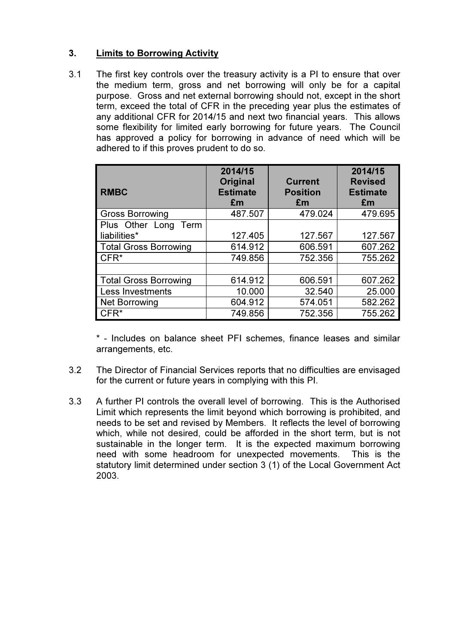## 3. Limits to Borrowing Activity

3.1 The first key controls over the treasury activity is a PI to ensure that over the medium term, gross and net borrowing will only be for a capital purpose. Gross and net external borrowing should not, except in the short term, exceed the total of CFR in the preceding year plus the estimates of any additional CFR for 2014/15 and next two financial years. This allows some flexibility for limited early borrowing for future years. The Council has approved a policy for borrowing in advance of need which will be adhered to if this proves prudent to do so.

| <b>RMBC</b>                             | 2014/15<br>Original<br><b>Estimate</b><br>£m | <b>Current</b><br><b>Position</b><br>£m | 2014/15<br><b>Revised</b><br><b>Estimate</b><br>£m |
|-----------------------------------------|----------------------------------------------|-----------------------------------------|----------------------------------------------------|
| <b>Gross Borrowing</b>                  | 487.507                                      | 479.024                                 | 479.695                                            |
| Plus Other Long<br>Term<br>liabilities* | 127.405                                      | 127.567                                 | 127.567                                            |
| <b>Total Gross Borrowing</b>            | 614.912                                      | 606.591                                 | 607.262                                            |
| $CFR*$                                  | 749.856                                      | 752.356                                 | 755.262                                            |
|                                         |                                              |                                         |                                                    |
| <b>Total Gross Borrowing</b>            | 614.912                                      | 606.591                                 | 607.262                                            |
| Less Investments                        | 10.000                                       | 32.540                                  | 25.000                                             |
| <b>Net Borrowing</b>                    | 604.912                                      | 574.051                                 | 582.262                                            |
| CFR*                                    | 749.856                                      | 752.356                                 | 755.262                                            |

\* - Includes on balance sheet PFI schemes, finance leases and similar arrangements, etc.

- 3.2 The Director of Financial Services reports that no difficulties are envisaged for the current or future years in complying with this PI.
- 3.3 A further PI controls the overall level of borrowing. This is the Authorised Limit which represents the limit beyond which borrowing is prohibited, and needs to be set and revised by Members. It reflects the level of borrowing which, while not desired, could be afforded in the short term, but is not sustainable in the longer term. It is the expected maximum borrowing need with some headroom for unexpected movements. This is the statutory limit determined under section 3 (1) of the Local Government Act 2003.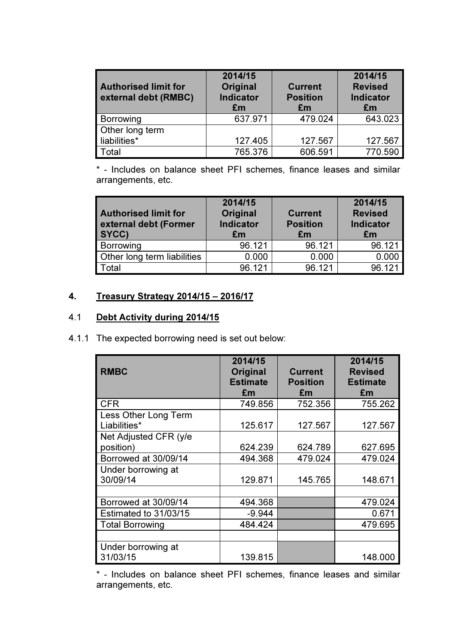| <b>Authorised limit for</b><br>external debt (RMBC) | 2014/15<br>Original<br><b>Indicator</b><br>£m | <b>Current</b><br><b>Position</b><br>£m | 2014/15<br><b>Revised</b><br><b>Indicator</b><br>£m |
|-----------------------------------------------------|-----------------------------------------------|-----------------------------------------|-----------------------------------------------------|
| Borrowing                                           | 637.971                                       | 479.024                                 | 643.023                                             |
| Other long term                                     |                                               |                                         |                                                     |
| liabilities*                                        | 127.405                                       | 127.567                                 | 127.567                                             |
| Total                                               | 765.376                                       | 606.591                                 | 770.590                                             |

\* - Includes on balance sheet PFI schemes, finance leases and similar arrangements, etc.

| <b>Authorised limit for</b><br>external debt (Former<br>SYCC) | 2014/15<br>Original<br><b>Indicator</b><br>£m | <b>Current</b><br><b>Position</b><br>£m | 2014/15<br><b>Revised</b><br><b>Indicator</b><br>£m |
|---------------------------------------------------------------|-----------------------------------------------|-----------------------------------------|-----------------------------------------------------|
| Borrowing                                                     | 96.121                                        | 96.121                                  | 96.121                                              |
| Other long term liabilities                                   | 0.000                                         | 0.000                                   | 0.000                                               |
| Total                                                         | 96.121                                        | 96.121                                  | 96.121                                              |

## 4. Treasury Strategy 2014/15 – 2016/17

### 4.1 Debt Activity during 2014/15

4.1.1 The expected borrowing need is set out below:

| <b>RMBC</b>                          | 2014/15<br>Original<br><b>Estimate</b><br>£m | <b>Current</b><br><b>Position</b><br>£m | 2014/15<br><b>Revised</b><br><b>Estimate</b><br>£m |
|--------------------------------------|----------------------------------------------|-----------------------------------------|----------------------------------------------------|
| <b>CFR</b>                           | 749.856                                      | 752.356                                 | 755.262                                            |
| Less Other Long Term<br>Liabilities* | 125.617                                      | 127.567                                 | 127.567                                            |
| Net Adjusted CFR (y/e<br>position)   | 624.239                                      | 624.789                                 | 627.695                                            |
| Borrowed at 30/09/14                 | 494.368                                      | 479.024                                 | 479.024                                            |
| Under borrowing at<br>30/09/14       | 129.871                                      | 145.765                                 | 148.671                                            |
|                                      |                                              |                                         |                                                    |
| Borrowed at 30/09/14                 | 494.368                                      |                                         | 479.024                                            |
| Estimated to 31/03/15                | $-9.944$                                     |                                         | 0.671                                              |
| <b>Total Borrowing</b>               | 484.424                                      |                                         | 479.695                                            |
|                                      |                                              |                                         |                                                    |
| Under borrowing at<br>31/03/15       | 139.815                                      |                                         | 148.000                                            |

<sup>\* -</sup> Includes on balance sheet PFI schemes, finance leases and similar arrangements, etc.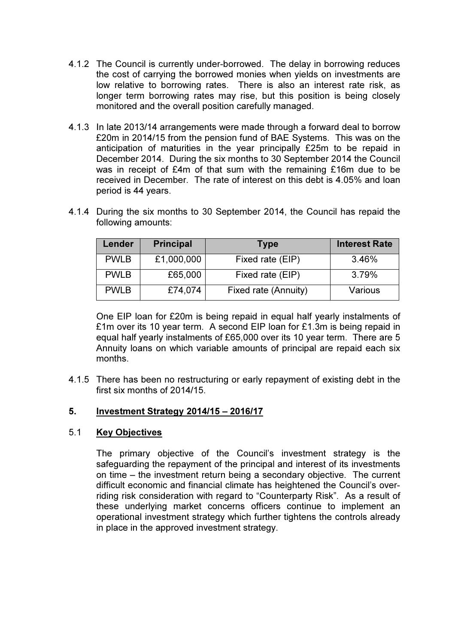- 4.1.2 The Council is currently under-borrowed. The delay in borrowing reduces the cost of carrying the borrowed monies when yields on investments are low relative to borrowing rates. There is also an interest rate risk, as longer term borrowing rates may rise, but this position is being closely monitored and the overall position carefully managed.
- 4.1.3 In late 2013/14 arrangements were made through a forward deal to borrow £20m in 2014/15 from the pension fund of BAE Systems. This was on the anticipation of maturities in the year principally £25m to be repaid in December 2014. During the six months to 30 September 2014 the Council was in receipt of £4m of that sum with the remaining £16m due to be received in December. The rate of interest on this debt is 4.05% and loan period is 44 years.
- 4.1.4 During the six months to 30 September 2014, the Council has repaid the following amounts:

| Lender      | <b>Principal</b> | Type                 | <b>Interest Rate</b> |
|-------------|------------------|----------------------|----------------------|
| <b>PWLB</b> | £1,000,000       | Fixed rate (EIP)     | 3.46%                |
| <b>PWLB</b> | £65,000          | Fixed rate (EIP)     | 3.79%                |
| <b>PWLB</b> | £74,074          | Fixed rate (Annuity) | Various              |

One EIP loan for £20m is being repaid in equal half yearly instalments of £1m over its 10 year term. A second EIP loan for £1.3m is being repaid in equal half yearly instalments of £65,000 over its 10 year term. There are 5 Annuity loans on which variable amounts of principal are repaid each six months.

4.1.5 There has been no restructuring or early repayment of existing debt in the first six months of 2014/15

#### 5. Investment Strategy 2014/15 – 2016/17

#### 5.1 Key Objectives

The primary objective of the Council's investment strategy is the safeguarding the repayment of the principal and interest of its investments on time – the investment return being a secondary objective. The current difficult economic and financial climate has heightened the Council's overriding risk consideration with regard to "Counterparty Risk". As a result of these underlying market concerns officers continue to implement an operational investment strategy which further tightens the controls already in place in the approved investment strategy.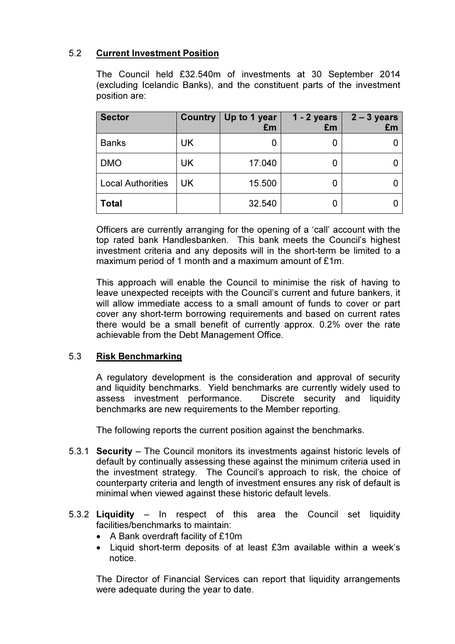# 5.2 Current Investment Position

The Council held £32.540m of investments at 30 September 2014 (excluding Icelandic Banks), and the constituent parts of the investment position are:

| <b>Sector</b>            | <b>Country</b> | Up to 1 year<br>£m | $1 - 2$ years<br>£m | $2 - 3$ years<br>£m |
|--------------------------|----------------|--------------------|---------------------|---------------------|
| <b>Banks</b>             | UK             |                    |                     |                     |
| <b>DMO</b>               | UK             | 17.040             |                     |                     |
| <b>Local Authorities</b> | UK             | 15.500             |                     |                     |
| <b>Total</b>             |                | 32.540             |                     |                     |

Officers are currently arranging for the opening of a 'call' account with the top rated bank Handlesbanken. This bank meets the Council's highest investment criteria and any deposits will in the short-term be limited to a maximum period of 1 month and a maximum amount of £1m.

This approach will enable the Council to minimise the risk of having to leave unexpected receipts with the Council's current and future bankers, it will allow immediate access to a small amount of funds to cover or part cover any short-term borrowing requirements and based on current rates there would be a small benefit of currently approx. 0.2% over the rate achievable from the Debt Management Office.

#### 5.3 Risk Benchmarking

A regulatory development is the consideration and approval of security and liquidity benchmarks. Yield benchmarks are currently widely used to assess investment performance. Discrete security and liquidity benchmarks are new requirements to the Member reporting.

The following reports the current position against the benchmarks.

- 5.3.1 Security The Council monitors its investments against historic levels of default by continually assessing these against the minimum criteria used in the investment strategy. The Council's approach to risk, the choice of counterparty criteria and length of investment ensures any risk of default is minimal when viewed against these historic default levels.
- 5.3.2 Liquidity In respect of this area the Council set liquidity facilities/benchmarks to maintain:
	- A Bank overdraft facility of £10m
	- Liquid short-term deposits of at least £3m available within a week's notice.

The Director of Financial Services can report that liquidity arrangements were adequate during the year to date.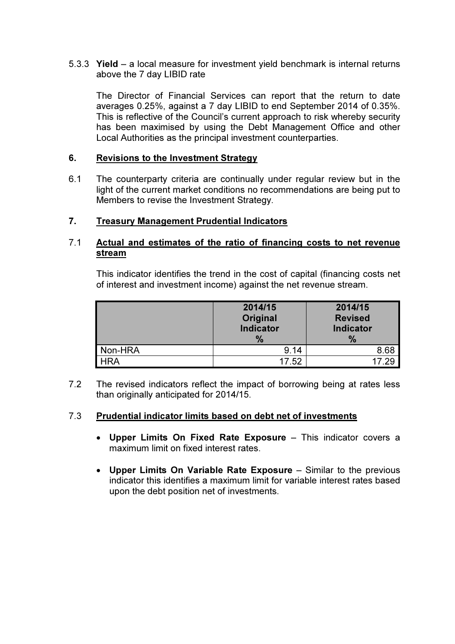5.3.3 Yield – a local measure for investment yield benchmark is internal returns above the 7 day LIBID rate

The Director of Financial Services can report that the return to date averages 0.25%, against a 7 day LIBID to end September 2014 of 0.35%. This is reflective of the Council's current approach to risk whereby security has been maximised by using the Debt Management Office and other Local Authorities as the principal investment counterparties.

#### 6. Revisions to the Investment Strategy

6.1 The counterparty criteria are continually under regular review but in the light of the current market conditions no recommendations are being put to Members to revise the Investment Strategy.

#### 7. Treasury Management Prudential Indicators

#### 7.1 Actual and estimates of the ratio of financing costs to net revenue stream

This indicator identifies the trend in the cost of capital (financing costs net of interest and investment income) against the net revenue stream.

|         | 2014/15<br>Original<br><b>Indicator</b><br>$\frac{9}{6}$ | 2014/15<br><b>Revised</b><br><b>Indicator</b><br>$\frac{1}{2}$ |
|---------|----------------------------------------------------------|----------------------------------------------------------------|
| Non-HRA | 9.14                                                     | 8.68                                                           |
| IRA     | 17.52                                                    | 17.29                                                          |

7.2 The revised indicators reflect the impact of borrowing being at rates less than originally anticipated for 2014/15.

#### 7.3 Prudential indicator limits based on debt net of investments

- Upper Limits On Fixed Rate Exposure This indicator covers a maximum limit on fixed interest rates.
- Upper Limits On Variable Rate Exposure Similar to the previous indicator this identifies a maximum limit for variable interest rates based upon the debt position net of investments.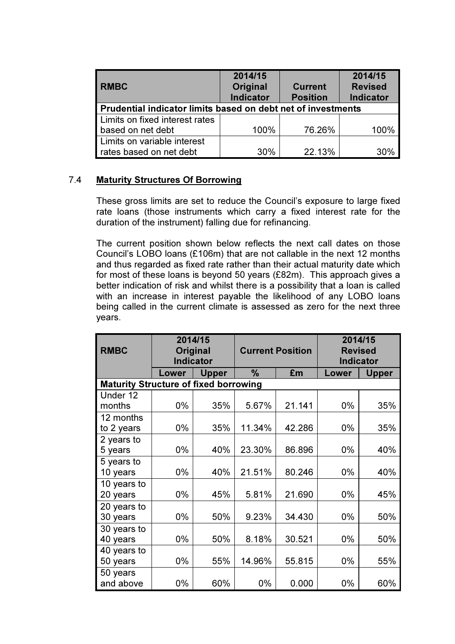| <b>RMBC</b>                                                  | 2014/15<br>Original<br><b>Indicator</b> | <b>Current</b><br><b>Position</b> | 2014/15<br><b>Revised</b><br><b>Indicator</b> |  |  |  |
|--------------------------------------------------------------|-----------------------------------------|-----------------------------------|-----------------------------------------------|--|--|--|
| Prudential indicator limits based on debt net of investments |                                         |                                   |                                               |  |  |  |
| Limits on fixed interest rates                               |                                         |                                   |                                               |  |  |  |
| based on net debt                                            | 100%                                    | 76.26%                            | 100%                                          |  |  |  |
| Limits on variable interest                                  |                                         |                                   |                                               |  |  |  |
| rates based on net debt                                      | 30%                                     | 22.13%                            | 30%                                           |  |  |  |

### 7.4 Maturity Structures Of Borrowing

 These gross limits are set to reduce the Council's exposure to large fixed rate loans (those instruments which carry a fixed interest rate for the duration of the instrument) falling due for refinancing.

The current position shown below reflects the next call dates on those Council's LOBO loans (£106m) that are not callable in the next 12 months and thus regarded as fixed rate rather than their actual maturity date which for most of these loans is beyond 50 years (£82m). This approach gives a better indication of risk and whilst there is a possibility that a loan is called with an increase in interest payable the likelihood of any LOBO loans being called in the current climate is assessed as zero for the next three years.

| <b>RMBC</b> | 2014/15<br>Original<br><b>Indicator</b>      |              | <b>Current Position</b> |        | 2014/15<br><b>Revised</b><br><b>Indicator</b> |              |  |
|-------------|----------------------------------------------|--------------|-------------------------|--------|-----------------------------------------------|--------------|--|
|             | Lower                                        | <b>Upper</b> | $\%$                    | £m     | Lower                                         | <b>Upper</b> |  |
|             | <b>Maturity Structure of fixed borrowing</b> |              |                         |        |                                               |              |  |
| Under 12    |                                              |              |                         |        |                                               |              |  |
| months      | $0\%$                                        | 35%          | 5.67%                   | 21.141 | $0\%$                                         | 35%          |  |
| 12 months   |                                              |              |                         |        |                                               |              |  |
| to 2 years  | 0%                                           | 35%          | 11.34%                  | 42.286 | $0\%$                                         | 35%          |  |
| 2 years to  |                                              |              |                         |        |                                               |              |  |
| 5 years     | $0\%$                                        | 40%          | 23.30%                  | 86.896 | 0%                                            | 40%          |  |
| 5 years to  |                                              |              |                         |        |                                               |              |  |
| 10 years    | $0\%$                                        | 40%          | 21.51%                  | 80.246 | $0\%$                                         | 40%          |  |
| 10 years to |                                              |              |                         |        |                                               |              |  |
| 20 years    | 0%                                           | 45%          | 5.81%                   | 21.690 | 0%                                            | 45%          |  |
| 20 years to |                                              |              |                         |        |                                               |              |  |
| 30 years    | 0%                                           | 50%          | 9.23%                   | 34.430 | $0\%$                                         | 50%          |  |
| 30 years to |                                              |              |                         |        |                                               |              |  |
| 40 years    | $0\%$                                        | 50%          | 8.18%                   | 30.521 | $0\%$                                         | 50%          |  |
| 40 years to |                                              |              |                         |        |                                               |              |  |
| 50 years    | 0%                                           | 55%          | 14.96%                  | 55.815 | 0%                                            | 55%          |  |
| 50 years    |                                              |              |                         |        |                                               |              |  |
| and above   | 0%                                           | 60%          | 0%                      | 0.000  | $0\%$                                         | 60%          |  |